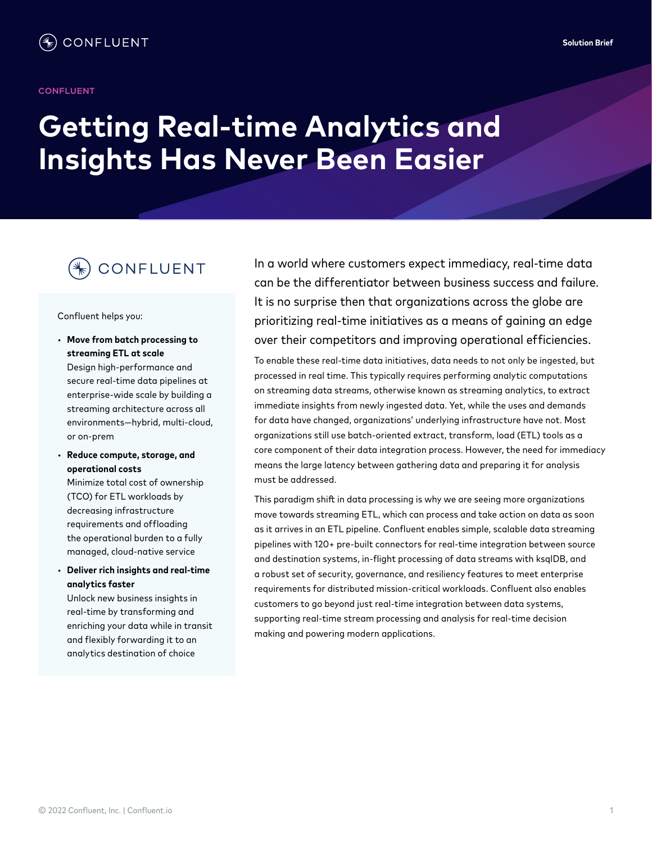#### **CONFLUENT**

# **Getting Real-time Analytics and Insights Has Never Been Easier**

## CONFLUENT

#### Confluent helps you:

- **Move from batch processing to streaming ETL at scale** Design high-performance and secure real-time data pipelines at enterprise-wide scale by building a streaming architecture across all environments—hybrid, multi-cloud, or on-prem
- **Reduce compute, storage, and operational costs**

Minimize total cost of ownership (TCO) for ETL workloads by decreasing infrastructure requirements and offloading the operational burden to a fully managed, cloud-native service

• **Deliver rich insights and real-time analytics faster**

Unlock new business insights in real-time by transforming and enriching your data while in transit and flexibly forwarding it to an analytics destination of choice

In a world where customers expect immediacy, real-time data can be the differentiator between business success and failure. It is no surprise then that organizations across the globe are prioritizing real-time initiatives as a means of gaining an edge over their competitors and improving operational efficiencies.

To enable these real-time data initiatives, data needs to not only be ingested, but processed in real time. This typically requires performing analytic computations on streaming data streams, otherwise known as streaming analytics, to extract immediate insights from newly ingested data. Yet, while the uses and demands for data have changed, organizations' underlying infrastructure have not. Most organizations still use batch-oriented extract, transform, load (ETL) tools as a core component of their data integration process. However, the need for immediacy means the large latency between gathering data and preparing it for analysis must be addressed.

This paradigm shift in data processing is why we are seeing more organizations move towards streaming ETL, which can process and take action on data as soon as it arrives in an ETL pipeline. Confluent enables simple, scalable data streaming pipelines with 120+ pre-built connectors for real-time integration between source and destination systems, in-flight processing of data streams with ksqlDB, and a robust set of security, governance, and resiliency features to meet enterprise requirements for distributed mission-critical workloads. Confluent also enables customers to go beyond just real-time integration between data systems, supporting real-time stream processing and analysis for real-time decision making and powering modern applications.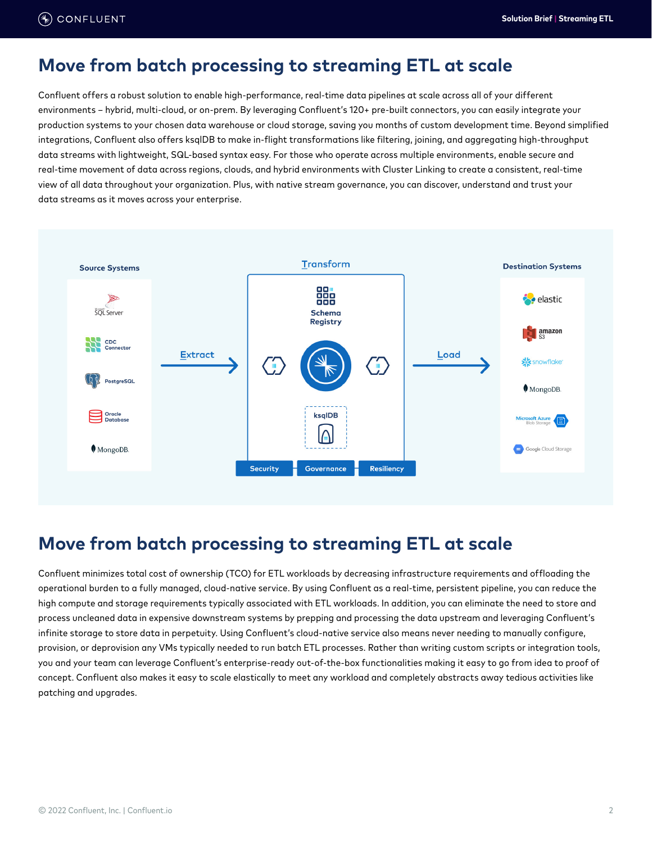#### **Move from batch processing to streaming ETL at scale**

Confluent offers a robust solution to enable high-performance, real-time data pipelines at scale across all of your different environments – hybrid, multi-cloud, or on-prem. By leveraging Confluent's 120+ pre-built connectors, you can easily integrate your production systems to your chosen data warehouse or cloud storage, saving you months of custom development time. Beyond simplified integrations, Confluent also offers ksqlDB to make in-flight transformations like filtering, joining, and aggregating high-throughput data streams with lightweight, SQL-based syntax easy. For those who operate across multiple environments, enable secure and real-time movement of data across regions, clouds, and hybrid environments with Cluster Linking to create a consistent, real-time view of all data throughout your organization. Plus, with native stream governance, you can discover, understand and trust your data streams as it moves across your enterprise.



## **Move from batch processing to streaming ETL at scale**

Confluent minimizes total cost of ownership (TCO) for ETL workloads by decreasing infrastructure requirements and offloading the operational burden to a fully managed, cloud-native service. By using Confluent as a real-time, persistent pipeline, you can reduce the high compute and storage requirements typically associated with ETL workloads. In addition, you can eliminate the need to store and process uncleaned data in expensive downstream systems by prepping and processing the data upstream and leveraging Confluent's infinite storage to store data in perpetuity. Using Confluent's cloud-native service also means never needing to manually configure, provision, or deprovision any VMs typically needed to run batch ETL processes. Rather than writing custom scripts or integration tools, you and your team can leverage Confluent's enterprise-ready out-of-the-box functionalities making it easy to go from idea to proof of concept. Confluent also makes it easy to scale elastically to meet any workload and completely abstracts away tedious activities like patching and upgrades.